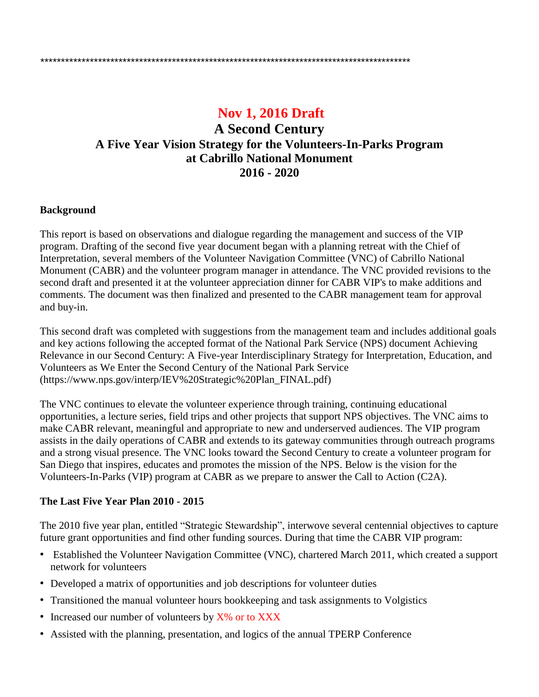# **Nov 1, 2016 Draft**

## **A Second Century A Five Year Vision Strategy for the Volunteers-In-Parks Program at Cabrillo National Monument 2016 - 2020**

#### **Background**

This report is based on observations and dialogue regarding the management and success of the VIP program. Drafting of the second five year document began with a planning retreat with the Chief of Interpretation, several members of the Volunteer Navigation Committee (VNC) of Cabrillo National Monument (CABR) and the volunteer program manager in attendance. The VNC provided revisions to the second draft and presented it at the volunteer appreciation dinner for CABR VIP's to make additions and comments. The document was then finalized and presented to the CABR management team for approval and buy-in.

This second draft was completed with suggestions from the management team and includes additional goals and key actions following the accepted format of the National Park Service (NPS) document Achieving Relevance in our Second Century: A Five-year Interdisciplinary Strategy for Interpretation, Education, and Volunteers as We Enter the Second Century of the National Park Service (https://www.nps.gov/interp/IEV%20Strategic%20Plan\_FINAL.pdf)

The VNC continues to elevate the volunteer experience through training, continuing educational opportunities, a lecture series, field trips and other projects that support NPS objectives. The VNC aims to make CABR relevant, meaningful and appropriate to new and underserved audiences. The VIP program assists in the daily operations of CABR and extends to its gateway communities through outreach programs and a strong visual presence. The VNC looks toward the Second Century to create a volunteer program for San Diego that inspires, educates and promotes the mission of the NPS. Below is the vision for the Volunteers-In-Parks (VIP) program at CABR as we prepare to answer the Call to Action (C2A).

#### **The Last Five Year Plan 2010 - 2015**

The 2010 five year plan, entitled "Strategic Stewardship", interwove several centennial objectives to capture future grant opportunities and find other funding sources. During that time the CABR VIP program:

- Established the Volunteer Navigation Committee (VNC), chartered March 2011, which created a support network for volunteers
- Developed a matrix of opportunities and job descriptions for volunteer duties
- Transitioned the manual volunteer hours bookkeeping and task assignments to Volgistics
- Increased our number of volunteers by X% or to XXX
- Assisted with the planning, presentation, and logics of the annual TPERP Conference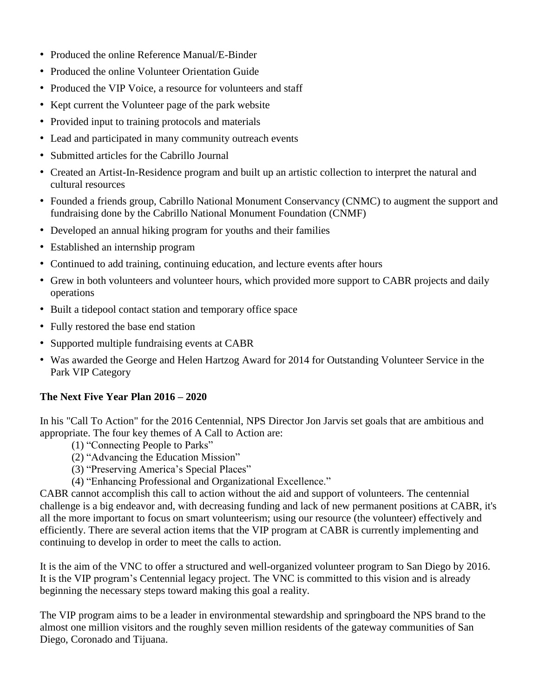- Produced the online Reference Manual/E-Binder
- Produced the online Volunteer Orientation Guide
- Produced the VIP Voice, a resource for volunteers and staff
- Kept current the Volunteer page of the park website
- Provided input to training protocols and materials
- Lead and participated in many community outreach events
- Submitted articles for the Cabrillo Journal
- Created an Artist-In-Residence program and built up an artistic collection to interpret the natural and cultural resources
- Founded a friends group, Cabrillo National Monument Conservancy (CNMC) to augment the support and fundraising done by the Cabrillo National Monument Foundation (CNMF)
- Developed an annual hiking program for youths and their families
- Established an internship program
- Continued to add training, continuing education, and lecture events after hours
- Grew in both volunteers and volunteer hours, which provided more support to CABR projects and daily operations
- Built a tidepool contact station and temporary office space
- Fully restored the base end station
- Supported multiple fundraising events at CABR
- Was awarded the George and Helen Hartzog Award for 2014 for Outstanding Volunteer Service in the Park VIP Category

#### **The Next Five Year Plan 2016 – 2020**

In his "Call To Action" for the 2016 Centennial, NPS Director Jon Jarvis set goals that are ambitious and appropriate. The four key themes of A Call to Action are:

- (1) "Connecting People to Parks"
- (2) "Advancing the Education Mission"
- (3) "Preserving America's Special Places"
- (4) "Enhancing Professional and Organizational Excellence."

CABR cannot accomplish this call to action without the aid and support of volunteers. The centennial challenge is a big endeavor and, with decreasing funding and lack of new permanent positions at CABR, it's all the more important to focus on smart volunteerism; using our resource (the volunteer) effectively and efficiently. There are several action items that the VIP program at CABR is currently implementing and continuing to develop in order to meet the calls to action.

It is the aim of the VNC to offer a structured and well-organized volunteer program to San Diego by 2016. It is the VIP program's Centennial legacy project. The VNC is committed to this vision and is already beginning the necessary steps toward making this goal a reality.

The VIP program aims to be a leader in environmental stewardship and springboard the NPS brand to the almost one million visitors and the roughly seven million residents of the gateway communities of San Diego, Coronado and Tijuana.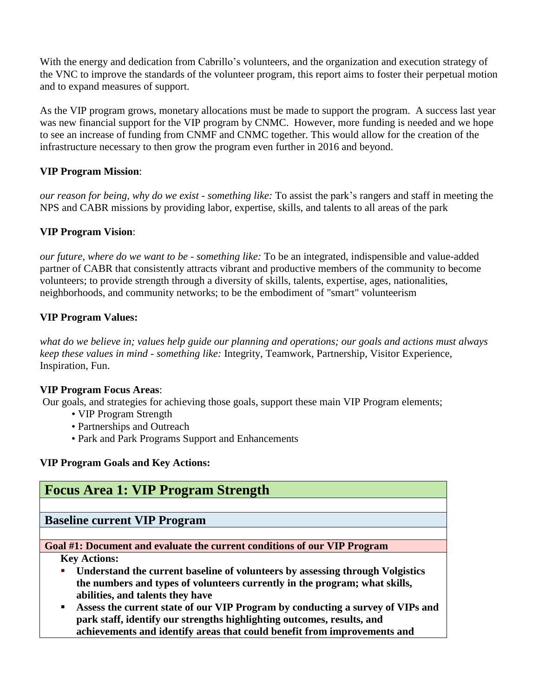With the energy and dedication from Cabrillo's volunteers, and the organization and execution strategy of the VNC to improve the standards of the volunteer program, this report aims to foster their perpetual motion and to expand measures of support.

As the VIP program grows, monetary allocations must be made to support the program. A success last year was new financial support for the VIP program by CNMC. However, more funding is needed and we hope to see an increase of funding from CNMF and CNMC together. This would allow for the creation of the infrastructure necessary to then grow the program even further in 2016 and beyond.

## **VIP Program Mission**:

*our reason for being, why do we exist - something like:* To assist the park's rangers and staff in meeting the NPS and CABR missions by providing labor, expertise, skills, and talents to all areas of the park

## **VIP Program Vision**:

*our future, where do we want to be - something like:* To be an integrated, indispensible and value-added partner of CABR that consistently attracts vibrant and productive members of the community to become volunteers; to provide strength through a diversity of skills, talents, expertise, ages, nationalities, neighborhoods, and community networks; to be the embodiment of "smart" volunteerism

## **VIP Program Values:**

what do we believe in; values help guide our planning and operations; our goals and actions must always *keep these values in mind - something like:* Integrity, Teamwork, Partnership, Visitor Experience, Inspiration, Fun.

#### **VIP Program Focus Areas**:

Our goals, and strategies for achieving those goals, support these main VIP Program elements;

- VIP Program Strength
- Partnerships and Outreach
- Park and Park Programs Support and Enhancements

#### **VIP Program Goals and Key Actions:**

| <b>Focus Area 1: VIP Program Strength</b>                                      |
|--------------------------------------------------------------------------------|
|                                                                                |
| <b>Baseline current VIP Program</b>                                            |
|                                                                                |
| Goal #1: Document and evaluate the current conditions of our VIP Program       |
| <b>Key Actions:</b>                                                            |
| Understand the current baseline of volunteers by assessing through Volgistics  |
| the numbers and types of volunteers currently in the program; what skills,     |
| abilities, and talents they have                                               |
| Assess the current state of our VIP Program by conducting a survey of VIPs and |
| park staff, identify our strengths highlighting outcomes, results, and         |
| achievements and identify areas that could benefit from improvements and       |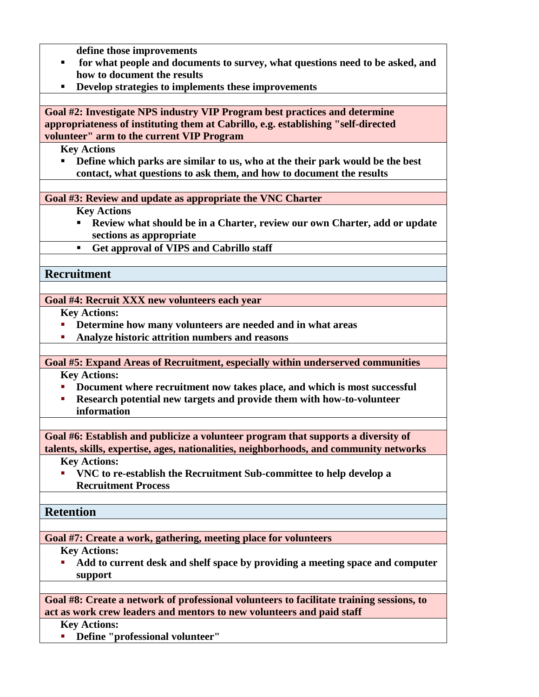**define those improvements**

- **for what people and documents to survey, what questions need to be asked, and how to document the results**
- **Develop strategies to implements these improvements**

**Goal #2: Investigate NPS industry VIP Program best practices and determine appropriateness of instituting them at Cabrillo, e.g. establishing "self-directed volunteer" arm to the current VIP Program**

**Key Actions**

 **Define which parks are similar to us, who at the their park would be the best contact, what questions to ask them, and how to document the results**

**Goal #3: Review and update as appropriate the VNC Charter**

**Key Actions**

- **Review what should be in a Charter, review our own Charter, add or update sections as appropriate**
- **Get approval of VIPS and Cabrillo staff**

**Recruitment**

**Goal #4: Recruit XXX new volunteers each year**

**Key Actions:**

- **Determine how many volunteers are needed and in what areas**
- **Analyze historic attrition numbers and reasons**

**Goal #5: Expand Areas of Recruitment, especially within underserved communities Key Actions:**

- **Document where recruitment now takes place, and which is most successful**
- **Research potential new targets and provide them with how-to-volunteer information**

**Goal #6: Establish and publicize a volunteer program that supports a diversity of talents, skills, expertise, ages, nationalities, neighborhoods, and community networks**

**Key Actions:**

 **VNC to re-establish the Recruitment Sub-committee to help develop a Recruitment Process**

**Retention**

**Goal #7: Create a work, gathering, meeting place for volunteers**

**Key Actions:**

 **Add to current desk and shelf space by providing a meeting space and computer support**

**Goal #8: Create a network of professional volunteers to facilitate training sessions, to act as work crew leaders and mentors to new volunteers and paid staff**

**Key Actions:**

**Define "professional volunteer"**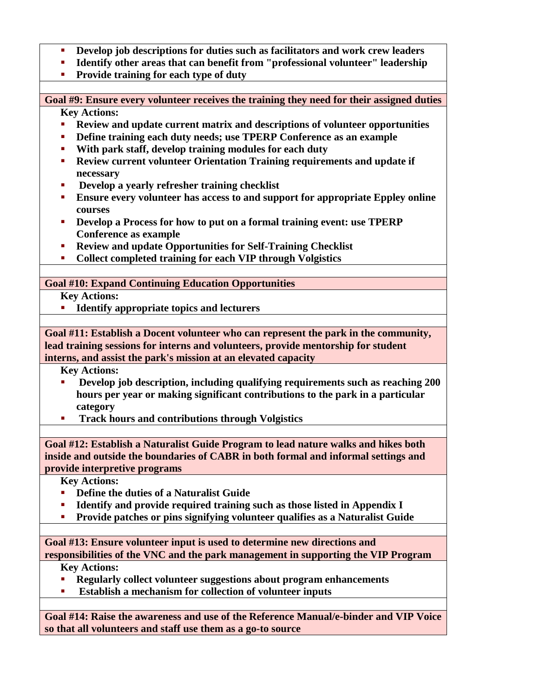- **Develop job descriptions for duties such as facilitators and work crew leaders**
- **Identify other areas that can benefit from "professional volunteer" leadership**
- **Provide training for each type of duty**

**Goal #9: Ensure every volunteer receives the training they need for their assigned duties Key Actions:**

- **Review and update current matrix and descriptions of volunteer opportunities**
- **Define training each duty needs; use TPERP Conference as an example**
- **With park staff, develop training modules for each duty**
- **Review current volunteer Orientation Training requirements and update if necessary**
- **Develop a yearly refresher training checklist**
- **Ensure every volunteer has access to and support for appropriate Eppley online courses**
- **Develop a Process for how to put on a formal training event: use TPERP Conference as example**
- **Review and update Opportunities for Self-Training Checklist**
- **Collect completed training for each VIP through Volgistics**

## **Goal #10: Expand Continuing Education Opportunities**

**Key Actions:**

**Identify appropriate topics and lecturers**

**Goal #11: Establish a Docent volunteer who can represent the park in the community, lead training sessions for interns and volunteers, provide mentorship for student interns, and assist the park's mission at an elevated capacity**

**Key Actions:**

- **Develop job description, including qualifying requirements such as reaching 200 hours per year or making significant contributions to the park in a particular category**
- **Track hours and contributions through Volgistics**

**Goal #12: Establish a Naturalist Guide Program to lead nature walks and hikes both inside and outside the boundaries of CABR in both formal and informal settings and provide interpretive programs**

**Key Actions:**

- **Define the duties of a Naturalist Guide**
- **Identify and provide required training such as those listed in Appendix I**
- **Provide patches or pins signifying volunteer qualifies as a Naturalist Guide**

**Goal #13: Ensure volunteer input is used to determine new directions and responsibilities of the VNC and the park management in supporting the VIP Program**

#### **Key Actions:**

- **Regularly collect volunteer suggestions about program enhancements**
- **Establish a mechanism for collection of volunteer inputs**

**Goal #14: Raise the awareness and use of the Reference Manual/e-binder and VIP Voice so that all volunteers and staff use them as a go-to source**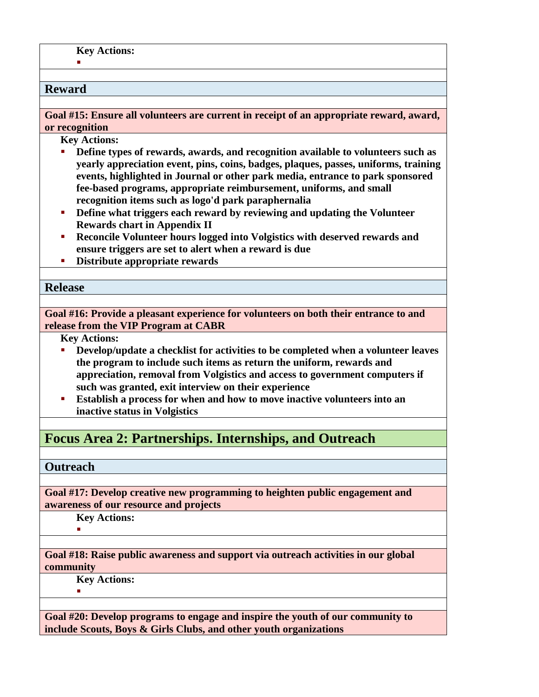#### **Reward**

F

**Goal #15: Ensure all volunteers are current in receipt of an appropriate reward, award, or recognition**

**Key Actions:**

- **Define types of rewards, awards, and recognition available to volunteers such as yearly appreciation event, pins, coins, badges, plaques, passes, uniforms, training events, highlighted in Journal or other park media, entrance to park sponsored fee-based programs, appropriate reimbursement, uniforms, and small recognition items such as logo'd park paraphernalia**
- **Define what triggers each reward by reviewing and updating the Volunteer Rewards chart in Appendix II**
- **Reconcile Volunteer hours logged into Volgistics with deserved rewards and ensure triggers are set to alert when a reward is due**
- **Distribute appropriate rewards**

#### **Release**

**Goal #16: Provide a pleasant experience for volunteers on both their entrance to and release from the VIP Program at CABR**

**Key Actions:**

- **Develop/update a checklist for activities to be completed when a volunteer leaves the program to include such items as return the uniform, rewards and appreciation, removal from Volgistics and access to government computers if such was granted, exit interview on their experience**
- **Establish a process for when and how to move inactive volunteers into an inactive status in Volgistics**

## **Focus Area 2: Partnerships. Internships, and Outreach**

#### **Outreach**

**Goal #17: Develop creative new programming to heighten public engagement and awareness of our resource and projects**

**Key Actions:**

F

**Goal #18: Raise public awareness and support via outreach activities in our global community**

**Key Actions:**

×.

**Goal #20: Develop programs to engage and inspire the youth of our community to include Scouts, Boys & Girls Clubs, and other youth organizations**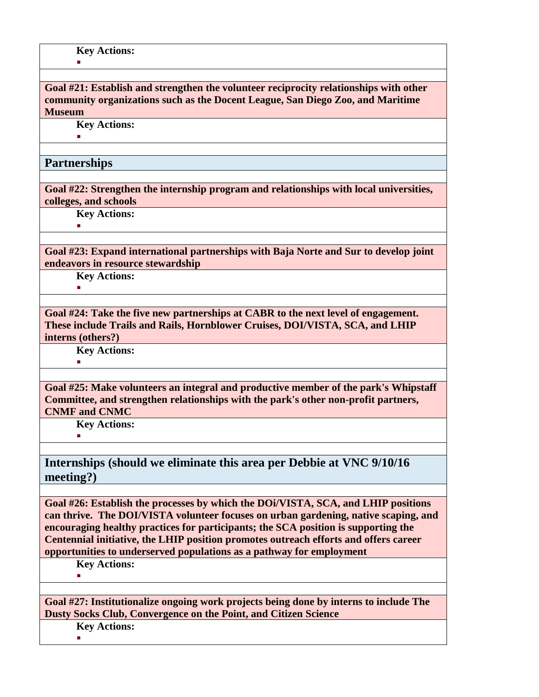**Goal #21: Establish and strengthen the volunteer reciprocity relationships with other community organizations such as the Docent League, San Diego Zoo, and Maritime Museum**

**Key Actions:**

 $\blacksquare$ 

 $\mathbf{r}$ 

#### **Partnerships**

**Goal #22: Strengthen the internship program and relationships with local universities, colleges, and schools**

**Key Actions:**

 $\mathbf{r}$ 

**Goal #23: Expand international partnerships with Baja Norte and Sur to develop joint endeavors in resource stewardship**

**Key Actions:**

E

**Goal #24: Take the five new partnerships at CABR to the next level of engagement. These include Trails and Rails, Hornblower Cruises, DOI/VISTA, SCA, and LHIP interns (others?)**

**Key Actions:** F

**Goal #25: Make volunteers an integral and productive member of the park's Whipstaff Committee, and strengthen relationships with the park's other non-profit partners, CNMF and CNMC**

**Key Actions:**

F

**Internships (should we eliminate this area per Debbie at VNC 9/10/16 meeting?)**

**Goal #26: Establish the processes by which the DOi/VISTA, SCA, and LHIP positions can thrive. The DOI/VISTA volunteer focuses on urban gardening, native scaping, and encouraging healthy practices for participants; the SCA position is supporting the Centennial initiative, the LHIP position promotes outreach efforts and offers career opportunities to underserved populations as a pathway for employment**

**Key Actions:**

 $\blacksquare$ 

**Goal #27: Institutionalize ongoing work projects being done by interns to include The Dusty Socks Club, Convergence on the Point, and Citizen Science** 

**Key Actions:**

E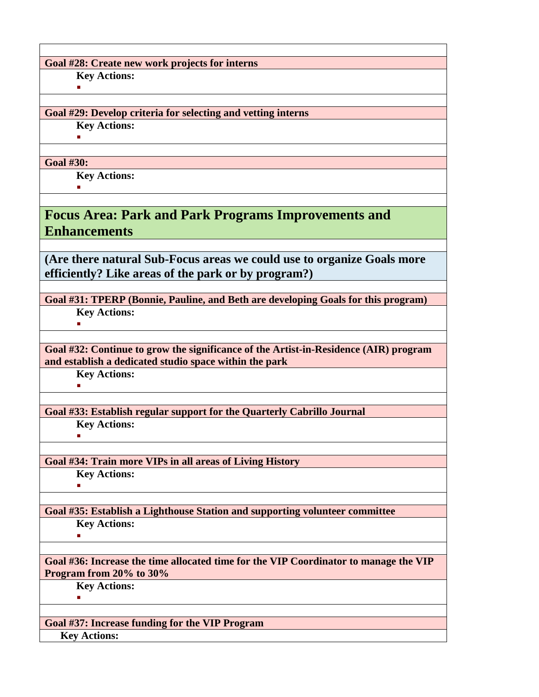**Goal #28: Create new work projects for interns**

**Key Actions:**  $\mathbf{m}$  .

## **Goal #29: Develop criteria for selecting and vetting interns**

**Key Actions:**

E

## **Goal #30:**

**Key Actions:** ×.

**Focus Area: Park and Park Programs Improvements and Enhancements**

**(Are there natural Sub-Focus areas we could use to organize Goals more efficiently? Like areas of the park or by program?)**

**Goal #31: TPERP (Bonnie, Pauline, and Beth are developing Goals for this program)**

**Key Actions:** F

**Goal #32: Continue to grow the significance of the Artist-in-Residence (AIR) program and establish a dedicated studio space within the park**

**Key Actions:** F

**Goal #33: Establish regular support for the Quarterly Cabrillo Journal**

**Key Actions:** F

**Goal #34: Train more VIPs in all areas of Living History**

**Key Actions:**  $\mathbf{u}$ 

**Goal #35: Establish a Lighthouse Station and supporting volunteer committee Key Actions:**

×.

 $\mathbf{u}$  .

**Goal #36: Increase the time allocated time for the VIP Coordinator to manage the VIP Program from 20% to 30%**

**Key Actions:**

**Goal #37: Increase funding for the VIP Program Key Actions:**